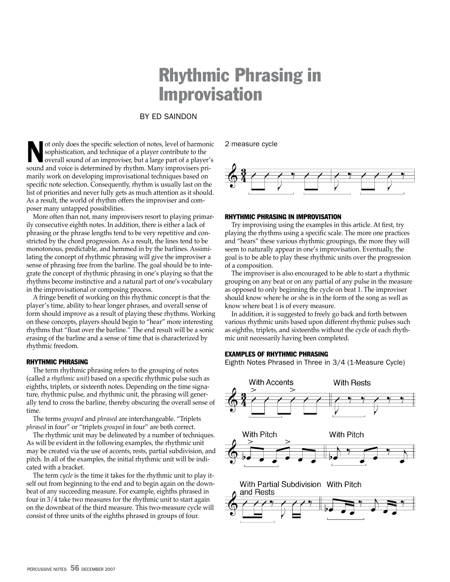## Rhythmic Phrasing in Improvisation

#### By Ed Saindon

Not only does the specific selection of notes, level of harmonic overall sound of an improviser, but a large part of a player's sophistication, and technique of a player contribute to the sound and voice is determined by rhythm. Many improvisers primarily work on developing improvisational techniques based on specific note selection. Consequently, rhythm is usually last on the list of priorities and never fully gets as much attention as it should. As a result, the world of rhythm offers the improviser and composer many untapped possibilities.

More often than not, many improvisers resort to playing primarily consecutive eighth notes. In addition, there is either a lack of phrasing or the phrase lengths tend to be very repetitive and constricted by the chord progression. As a result, the lines tend to be monotonous, predictable, and hemmed in by the barlines. Assimilating the concept of rhythmic phrasing will give the improviser a sense of phrasing free from the barline. The goal should be to integrate the concept of rhythmic phrasing in one's playing so that the rhythms become instinctive and a natural part of one's vocabulary in the improvisational or composing process.

A fringe benefit of working on this rhythmic concept is that the player's time, ability to hear longer phrases, and overall sense of form should improve as a result of playing these rhythms. Working on these concepts, players should begin to "hear" more interesting rhythms that "float over the barline." The end result will be a sonic erasing of the barline and a sense of time that is characterized by rhythmic freedom.

#### Rhythmic Phrasing

The term rhythmic phrasing refers to the grouping of notes (called a *rhythmic unit*) based on a specific rhythmic pulse such as eighths, triplets, or sixteenth notes. Depending on the time signature, rhythmic pulse, and rhythmic unit, the phrasing will generally tend to cross the barline, thereby obscuring the overall sense of time.

The terms *grouped* and *phrased* are interchangeable. "Triplets *phrased* in four" or "triplets *grouped* in four" are both correct.

The rhythmic unit may be delineated by a number of techniques. As will be evident in the following examples, the rhythmic unit may be created via the use of accents, rests, partial subdivision, and pitch. In all of the examples, the initial rhythmic unit will be indicated with a bracket.

The term *cycle* is the time it takes for the rhythmic unit to play itself out from beginning to the end and to begin again on the downbeat of any succeeding measure. For example, eighths phrased in four in 3/4 take two measures for the rhythmic unit to start again on the downbeat of the third measure. This two-measure cycle will consist of three units of the eighths phrased in groups of four.

2 measure cycle



#### Rhythmic Phrasing in Improvisation

Try improvising using the examples in this article. At first, try playing the rhythms using a specific scale. The more one practices and "hears" these various rhythmic groupings, the more they will seem to naturally appear in one's improvisation. Eventually, the goal is to be able to play these rhythmic units over the progression of a composition.

The improviser is also encouraged to be able to start a rhythmic grouping on any beat or on any partial of any pulse in the measure as opposed to only beginning the cycle on beat 1. The improviser should know where he or she is in the form of the song as well as know where beat 1 is of every measure.

In addition, it is suggested to freely go back and forth between various rhythmic units based upon different rhythmic pulses such as eighths, triplets, and sixteenths without the cycle of each rhythmic unit necessarily having been completed.

#### Examples of Rhythmic Phrasing

Eighth Notes Phrased in Three in 3/4 (1-Measure Cycle)

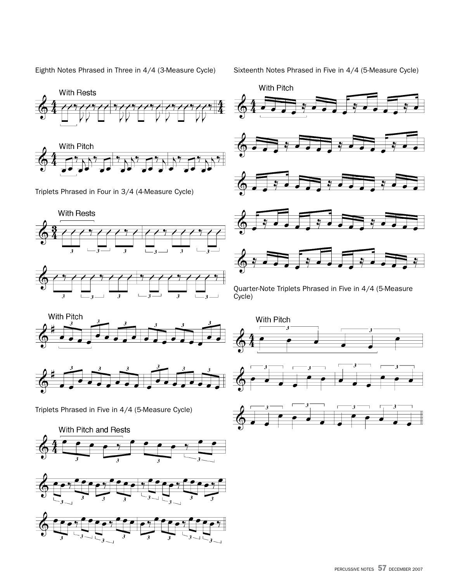Eighth Notes Phrased in Three in 4/4 (3-Measure Cycle)

Sixteenth Notes Phrased in Five in 4/4 (5-Measure Cycle)





Triplets Phrased in Four in 3/4 (4-Measure Cycle)









Quarter-Note Triplets Phrased in Five in 4/4 (5-Measure Cycle)





Triplets Phrased in Five in 4/4 (5-Measure Cycle)